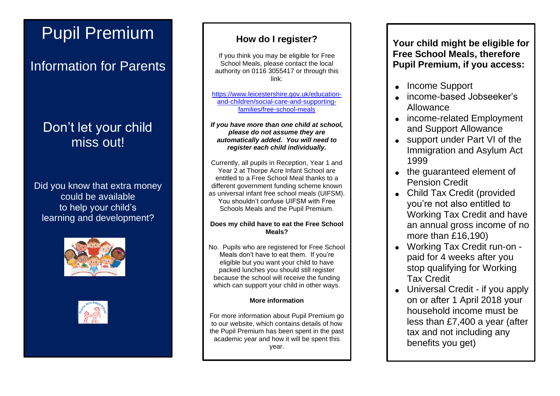# Pupil Premium

## Information for Parents

## Don't let your child miss out!

Did you know that extra money could be available to help your child's learning and development?





## **How do I register?**

If you think you may be eligible for Free School Meals, please contact the local authority on 0116 3055417 or through this link:

[https://www.leicestershire.gov.uk/education](https://www.leicestershire.gov.uk/education-and-children/social-care-and-supporting-families/free-school-meals)[and-children/social-care-and-supporting](https://www.leicestershire.gov.uk/education-and-children/social-care-and-supporting-families/free-school-meals)[families/free-school-meals](https://www.leicestershire.gov.uk/education-and-children/social-care-and-supporting-families/free-school-meals)

*If you have more than one child at school, please do not assume they are automatically added. You will need to register each child individually.*

Currently, all pupils in Reception, Year 1 and Year 2 at Thorpe Acre Infant School are entitled to a Free School Meal thanks to a different government funding scheme known as universal infant free school meals (UIFSM). You shouldn't confuse UIFSM with Free Schools Meals and the Pupil Premium.

#### **Does my child have to eat the Free School Meals?**

No. Pupils who are registered for Free School Meals don't have to eat them. If you're eligible but you want your child to have packed lunches you should still register because the school will receive the funding which can support your child in other ways.

#### **More information**

For more information about Pupil Premium go to our website, which contains details of how the Pupil Premium has been spent in the past academic year and how it will be spent this year.

**Your child might be eligible for Free School Meals, therefore Pupil Premium, if you access:**

- Income Support
- income-based Jobseeker's Allowance
- income-related Employment and Support Allowance
- support under Part VI of the Immigration and Asylum Act 1999
- the guaranteed element of Pension Credit
- Child Tax Credit (provided you're not also entitled to Working Tax Credit and have an annual gross income of no more than £16,190)
- Working Tax Credit run-on paid for 4 weeks after you stop qualifying for Working Tax Credit
- Universal Credit if you apply on or after 1 April 2018 your household income must be less than £7,400 a year (after tax and not including any benefits you get)